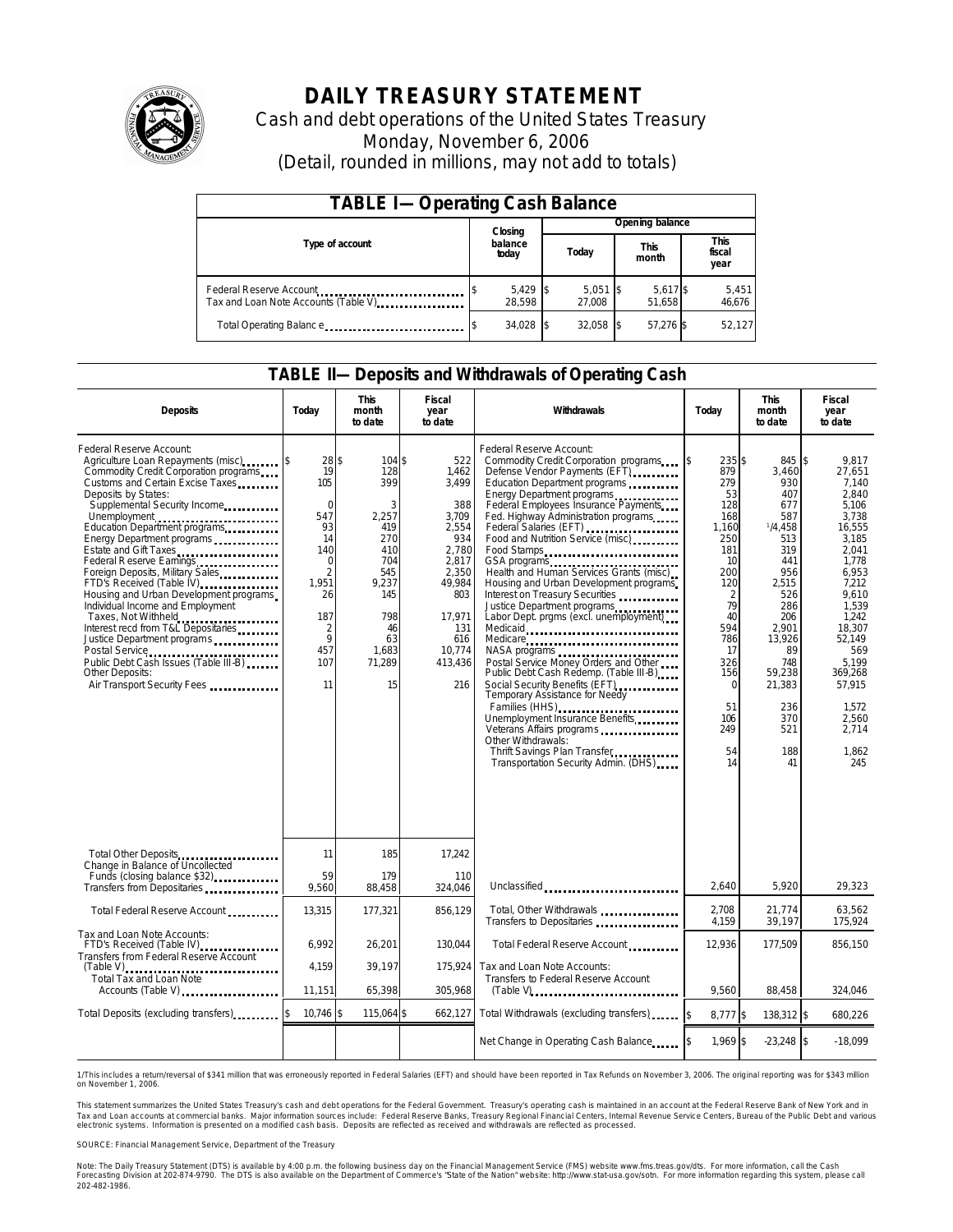

# **DAILY TREASURY STATEMENT**

Cash and debt operations of the United States Treasury Monday, November 6, 2006 (Detail, rounded in millions, may not add to totals)

| <b>TABLE I-Operating Cash Balance</b> |  |                      |  |                      |                                                         |  |                        |                 |
|---------------------------------------|--|----------------------|--|----------------------|---------------------------------------------------------|--|------------------------|-----------------|
|                                       |  | Closing              |  | Opening balance      |                                                         |  |                        |                 |
| Type of account                       |  | balance<br>today     |  | Today                | <b>This</b><br>month<br>5,617 \$<br>51.658<br>57.276 \$ |  | This<br>fiscal<br>year |                 |
| Tax and Loan Note Accounts (Table V)  |  | $5,429$ \$<br>28.598 |  | $5,051$ \$<br>27.008 |                                                         |  |                        | 5,451<br>46,676 |
| Total Operating Balance               |  | 34,028 \$            |  | 32.058 \$            |                                                         |  |                        | 52,127          |

#### **TABLE II—Deposits and Withdrawals of Operating Cash**

| <b>Deposits</b>                                                                                                                                                                                                                                                                                                                                                                                                                                                                                                                                                                                                                                                                   | Today                                                                                                                                    | <b>This</b><br>month<br>to date                                                                                                   | Fiscal<br>year<br>to date                                                                                                                             | Withdrawals<br>Today                                                                                                                                                                                                                                                                                                                                                                                                                                                                                                                                                                                                                                                                                                                                                                                                                                                                   |                                                                                                                                                                                                       | <b>This</b><br>month<br>to date                                                                                                                                                                     | <b>Fiscal</b><br>year<br>to date                                                                                                                                                                                                                        |
|-----------------------------------------------------------------------------------------------------------------------------------------------------------------------------------------------------------------------------------------------------------------------------------------------------------------------------------------------------------------------------------------------------------------------------------------------------------------------------------------------------------------------------------------------------------------------------------------------------------------------------------------------------------------------------------|------------------------------------------------------------------------------------------------------------------------------------------|-----------------------------------------------------------------------------------------------------------------------------------|-------------------------------------------------------------------------------------------------------------------------------------------------------|----------------------------------------------------------------------------------------------------------------------------------------------------------------------------------------------------------------------------------------------------------------------------------------------------------------------------------------------------------------------------------------------------------------------------------------------------------------------------------------------------------------------------------------------------------------------------------------------------------------------------------------------------------------------------------------------------------------------------------------------------------------------------------------------------------------------------------------------------------------------------------------|-------------------------------------------------------------------------------------------------------------------------------------------------------------------------------------------------------|-----------------------------------------------------------------------------------------------------------------------------------------------------------------------------------------------------|---------------------------------------------------------------------------------------------------------------------------------------------------------------------------------------------------------------------------------------------------------|
| Federal Reserve Account:<br>Agriculture Loan Repayments (misc)<br>Commodity Credit Corporation programs<br>Customs and Certain Excise Taxes<br>Deposits by States:<br>Supplemental Security Income<br>Unemployment<br>Education Department programs<br>Energy Department programs<br>Federal Reserve Earnings<br>Foreign Deposits, Military Sales<br>FTD's Received (Table IV)<br>FTD's Received (Table IV)<br>Housing and Urban Development programs<br>Individual Income and Employment<br>Taxes, Not Withheld<br>Interest recd from T&L Depositaries<br>Justice Department programs<br>Public Debt Cash Issues (Table III-B)<br>Other Deposits:<br>Air Transport Security Fees | 28S<br>19<br>105<br>$\Omega$<br>547<br>93<br>14<br>140<br>$\Omega$<br>$\overline{2}$<br>1.951<br>26<br>187<br>2<br>9<br>457<br>107<br>11 | 104 \$<br>128<br>399<br>3<br>2,257<br>419<br>270<br>410<br>704<br>545<br>9,237<br>145<br>798<br>46<br>63<br>1,683<br>71,289<br>15 | 522<br>1,462<br>3.499<br>388<br>3.709<br>2.554<br>934<br>2,780<br>2,817<br>2,350<br>49,984<br>803<br>17,971<br>131<br>616<br>10,774<br>413,436<br>216 | Federal Reserve Account:<br>Commodity Credit Corporation programs<br>Defense Vendor Payments (EFT)<br>Education Department programs<br>Energy Department programs<br>Federal Employees Insurance Payments<br>Fed. Highway Administration programs<br>Federal Salaries (EFT)<br>Food and Nutrition Service (misc)<br>Food Stamps<br>GSA programs<br>Health and Human Services Grants (misc)<br>Housing and Urban Development programs<br>Interest on Treasury Securities<br>Justice Department programs<br>Labor Dept. prgms (excl. unemployment)<br>Medicaid<br>Medicare<br>Postal Service Money Orders and Other<br>Public Debt Cash Redemp. (Table III-B)<br>Social Security Benefits (EFT)<br><br>Temporary Assistance for Needy<br>Families (HHS)<br>Unemployment Insurance Benefits<br>Other Withdrawals:<br>Thrift Savings Plan Transfer<br>Transportation Security Admin. (DHS) | 235 \$<br>\$<br>879<br>279<br>53<br>128<br>168<br>1.160<br>250<br>181<br>10<br>200<br>120<br>$\overline{2}$<br>79<br>40<br>594<br>786<br>17<br>326<br>156<br>$\Omega$<br>51<br>106<br>249<br>54<br>14 | 845<br>3,460<br>930<br>407<br>677<br>587<br>1/4.458<br>513<br>319<br>441<br>956<br>2.515<br>526<br>286<br>206<br>2.901<br>13,926<br>89<br>748<br>59,238<br>21,383<br>236<br>370<br>521<br>188<br>41 | $\sqrt{3}$<br>9.817<br>27,651<br>7.140<br>2.840<br>5.106<br>3.738<br>16.555<br>3.185<br>2.041<br>1.778<br>6.953<br>7,212<br>9.610<br>1.539<br>1.242<br>18.307<br>52,149<br>569<br>5.199<br>369,268<br>57.915<br>1.572<br>2.560<br>2.714<br>1,862<br>245 |
| Total Other Deposits<br>Change in Balance of Uncollected                                                                                                                                                                                                                                                                                                                                                                                                                                                                                                                                                                                                                          | 11                                                                                                                                       | 185                                                                                                                               | 17,242                                                                                                                                                |                                                                                                                                                                                                                                                                                                                                                                                                                                                                                                                                                                                                                                                                                                                                                                                                                                                                                        |                                                                                                                                                                                                       |                                                                                                                                                                                                     |                                                                                                                                                                                                                                                         |
| Funds (closing balance \$32)<br>Transfers from Depositaries                                                                                                                                                                                                                                                                                                                                                                                                                                                                                                                                                                                                                       | 59<br>9,560                                                                                                                              | 179<br>88,458                                                                                                                     | 110<br>324,046                                                                                                                                        | Unclassified                                                                                                                                                                                                                                                                                                                                                                                                                                                                                                                                                                                                                                                                                                                                                                                                                                                                           | 2.640                                                                                                                                                                                                 | 5.920                                                                                                                                                                                               | 29.323                                                                                                                                                                                                                                                  |
| Total Federal Reserve Account                                                                                                                                                                                                                                                                                                                                                                                                                                                                                                                                                                                                                                                     | 13,315                                                                                                                                   | 177,321                                                                                                                           | 856.129                                                                                                                                               | Total, Other Withdrawals<br>Transfers to Depositaries                                                                                                                                                                                                                                                                                                                                                                                                                                                                                                                                                                                                                                                                                                                                                                                                                                  | 2.708<br>4.159                                                                                                                                                                                        | 21.774<br>39.197                                                                                                                                                                                    | 63,562<br>175.924                                                                                                                                                                                                                                       |
| Tax and Loan Note Accounts:<br>FTD's Received (Table IV)<br>Transfers from Federal Reserve Account                                                                                                                                                                                                                                                                                                                                                                                                                                                                                                                                                                                | 6,992                                                                                                                                    | 26,201                                                                                                                            | 130,044                                                                                                                                               | Total Federal Reserve Account                                                                                                                                                                                                                                                                                                                                                                                                                                                                                                                                                                                                                                                                                                                                                                                                                                                          | 12,936                                                                                                                                                                                                | 177,509                                                                                                                                                                                             | 856,150                                                                                                                                                                                                                                                 |
| (Table V)<br>Total Tax and Loan Note                                                                                                                                                                                                                                                                                                                                                                                                                                                                                                                                                                                                                                              | 4,159                                                                                                                                    | 39,197                                                                                                                            | 175,924                                                                                                                                               | Tax and Loan Note Accounts:<br>Transfers to Federal Reserve Account                                                                                                                                                                                                                                                                                                                                                                                                                                                                                                                                                                                                                                                                                                                                                                                                                    |                                                                                                                                                                                                       |                                                                                                                                                                                                     |                                                                                                                                                                                                                                                         |
|                                                                                                                                                                                                                                                                                                                                                                                                                                                                                                                                                                                                                                                                                   | 11,151                                                                                                                                   | 65,398                                                                                                                            | 305,968                                                                                                                                               |                                                                                                                                                                                                                                                                                                                                                                                                                                                                                                                                                                                                                                                                                                                                                                                                                                                                                        | 9,560                                                                                                                                                                                                 | 88,458                                                                                                                                                                                              | 324,046                                                                                                                                                                                                                                                 |
| Total Deposits (excluding transfers)                                                                                                                                                                                                                                                                                                                                                                                                                                                                                                                                                                                                                                              | \$<br>$10,746$ \$                                                                                                                        | 115,064 \$                                                                                                                        | 662,127                                                                                                                                               | Total Withdrawals (excluding transfers)                                                                                                                                                                                                                                                                                                                                                                                                                                                                                                                                                                                                                                                                                                                                                                                                                                                | $\overline{\mathbf{s}}$<br>8,777 \$                                                                                                                                                                   | 138,312 \$                                                                                                                                                                                          | 680,226                                                                                                                                                                                                                                                 |
|                                                                                                                                                                                                                                                                                                                                                                                                                                                                                                                                                                                                                                                                                   |                                                                                                                                          |                                                                                                                                   |                                                                                                                                                       | Net Change in Operating Cash Balance                                                                                                                                                                                                                                                                                                                                                                                                                                                                                                                                                                                                                                                                                                                                                                                                                                                   | 1,969 \$                                                                                                                                                                                              | $-23,248$ \$                                                                                                                                                                                        | $-18,099$                                                                                                                                                                                                                                               |

1/This includes a return/reversal of \$341 million that was erroneously reported in Federal Salaries (EFT) and should have been reported in Tax Refunds on November 3, 2006. The original reporting was for \$343 milion<br>on Nove

This statement summarizes the United States Treasury's cash and debt operations for the Federal Government. Treasury's operating cash is maintained in an account at the Federal Reserve Bank of New York and in Tax and Loan accounts at commercial banks. Major information sources include: Federal Reserve Banks, Treasury Regional Financial Centers, Internal Revenue Service Centers, Bureau of the Public Debt and various<br>electronic s

SOURCE: Financial Management Service, Department of the Treasury

Note: The Daily Treasury Statement (DTS) is available by 4:00 p.m. the following business day on the Financial Management Service (FMS) website www.fms.treas.gov/dts. For more information, call the Cash<br>Forecasting Divisio 202-482-1986.